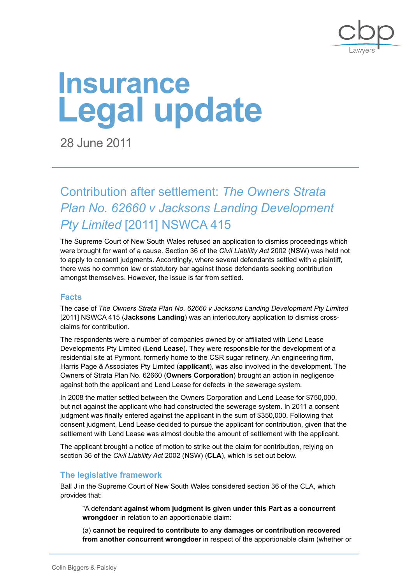

# **Legal update Insurance**

28 June 2011

Contribution after settlement: *The Owners Strata Plan No. 62660 v Jacksons Landing Development Pty Limited* [2011] NSWCA 415

The Supreme Court of New South Wales refused an application to dismiss proceedings which were brought for want of a cause. Section 36 of the *Civil Liability Act* 2002 (NSW) was held not to apply to consent judgments. Accordingly, where several defendants settled with a plaintiff, there was no common law or statutory bar against those defendants seeking contribution amongst themselves. However, the issue is far from settled.

## **Facts**

The case of *The Owners Strata Plan No. 62660 v Jacksons Landing Development Pty Limited* [2011] NSWCA 415 (**Jacksons Landing**) was an interlocutory application to dismiss crossclaims for contribution.

The respondents were a number of companies owned by or affiliated with Lend Lease Developments Pty Limited (**Lend Lease**). They were responsible for the development of a residential site at Pyrmont, formerly home to the CSR sugar refinery. An engineering firm, Harris Page & Associates Pty Limited (**applicant**), was also involved in the development. The Owners of Strata Plan No. 62660 (**Owners Corporation**) brought an action in negligence against both the applicant and Lend Lease for defects in the sewerage system.

In 2008 the matter settled between the Owners Corporation and Lend Lease for \$750,000, but not against the applicant who had constructed the sewerage system. In 2011 a consent judgment was finally entered against the applicant in the sum of \$350,000. Following that consent judgment, Lend Lease decided to pursue the applicant for contribution, given that the settlement with Lend Lease was almost double the amount of settlement with the applicant.

The applicant brought a notice of motion to strike out the claim for contribution, relying on section 36 of the *Civil Liability Act* 2002 (NSW) (**CLA**), which is set out below.

## **The legislative framework**

Ball J in the Supreme Court of New South Wales considered section 36 of the CLA, which provides that:

"A defendant **against whom judgment is given under this Part as a concurrent wrongdoer** in relation to an apportionable claim:

(a) **cannot be required to contribute to any damages or contribution recovered from another concurrent wrongdoer** in respect of the apportionable claim (whether or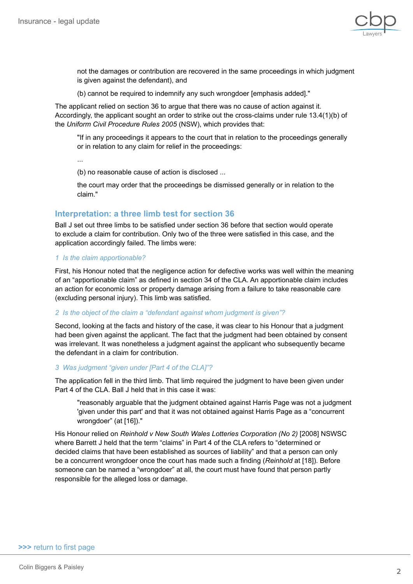

not the damages or contribution are recovered in the same proceedings in which judgment is given against the defendant), and

(b) cannot be required to indemnify any such wrongdoer [emphasis added]."

The applicant relied on section 36 to argue that there was no cause of action against it. Accordingly, the applicant sought an order to strike out the cross-claims under rule 13.4(1)(b) of the *Uniform Civil Procedure Rules 2005* (NSW), which provides that:

"If in any proceedings it appears to the court that in relation to the proceedings generally or in relation to any claim for relief in the proceedings:

...

(b) no reasonable cause of action is disclosed ...

the court may order that the proceedings be dismissed generally or in relation to the claim."

## **Interpretation: a three limb test for section 36**

Ball J set out three limbs to be satisfied under section 36 before that section would operate to exclude a claim for contribution. Only two of the three were satisfied in this case, and the application accordingly failed. The limbs were:

#### *1 Is the claim apportionable?*

First, his Honour noted that the negligence action for defective works was well within the meaning of an "apportionable claim" as defined in section 34 of the CLA. An apportionable claim includes an action for economic loss or property damage arising from a failure to take reasonable care (excluding personal injury). This limb was satisfied.

#### *2 Is the object of the claim a "defendant against whom judgment is given"?*

Second, looking at the facts and history of the case, it was clear to his Honour that a judgment had been given against the applicant. The fact that the judgment had been obtained by consent was irrelevant. It was nonetheless a judgment against the applicant who subsequently became the defendant in a claim for contribution.

#### *3 Was judgment "given under [Part 4 of the CLA]"?*

The application fell in the third limb. That limb required the judgment to have been given under Part 4 of the CLA. Ball J held that in this case it was:

"reasonably arguable that the judgment obtained against Harris Page was not a judgment 'given under this part' and that it was not obtained against Harris Page as a "concurrent wrongdoer" (at [16])."

His Honour relied on *Reinhold v New South Wales Lotteries Corporation (No 2)* [2008] NSWSC where Barrett J held that the term "claims" in Part 4 of the CLA refers to "determined or decided claims that have been established as sources of liability" and that a person can only be a concurrent wrongdoer once the court has made such a finding (*Reinhold* at [18]). Before someone can be named a "wrongdoer" at all, the court must have found that person partly responsible for the alleged loss or damage.